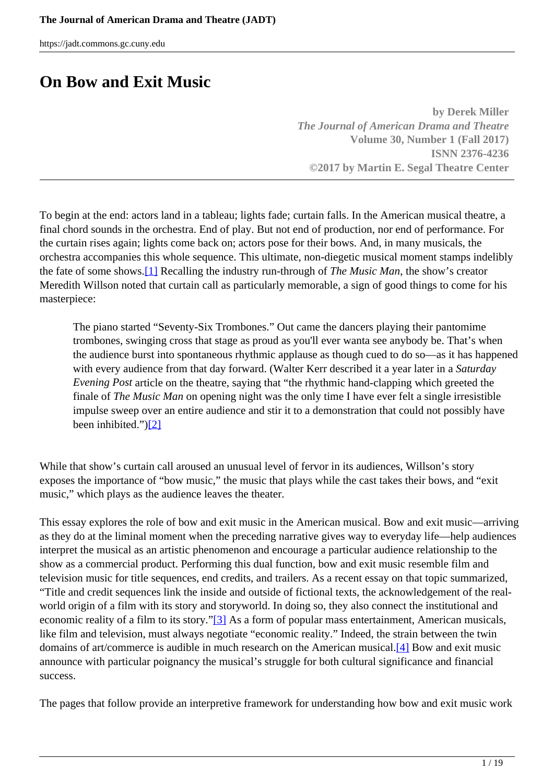# <span id="page-0-0"></span>**On Bow and Exit Music**

**by Derek Miller** *The Journal of American Drama and Theatre* **Volume 30, Number 1 (Fall 2017) ISNN 2376-4236 ©2017 by Martin E. Segal Theatre Center**

To begin at the end: actors land in a tableau; lights fade; curtain falls. In the American musical theatre, a final chord sounds in the orchestra. End of play. But not end of production, nor end of performance. For the curtain rises again; lights come back on; actors pose for their bows. And, in many musicals, the orchestra accompanies this whole sequence. This ultimate, non-diegetic musical moment stamps indelibly the fate of some shows[.\[1\]](#page-0-0) Recalling the industry run-through of *The Music Man*, the show's creator Meredith Willson noted that curtain call as particularly memorable, a sign of good things to come for his masterpiece:

The piano started "Seventy-Six Trombones." Out came the dancers playing their pantomime trombones, swinging cross that stage as proud as you'll ever wanta see anybody be. That's when the audience burst into spontaneous rhythmic applause as though cued to do so—as it has happened with every audience from that day forward. (Walter Kerr described it a year later in a *Saturday Evening Post* article on the theatre, saying that "the rhythmic hand-clapping which greeted the finale of *The Music Man* on opening night was the only time I have ever felt a single irresistible impulse sweep over an entire audience and stir it to a demonstration that could not possibly have been inhibited."[\)\[2\]](#page-0-0)

While that show's curtain call aroused an unusual level of fervor in its audiences, Willson's story exposes the importance of "bow music," the music that plays while the cast takes their bows, and "exit music," which plays as the audience leaves the theater.

This essay explores the role of bow and exit music in the American musical. Bow and exit music—arriving as they do at the liminal moment when the preceding narrative gives way to everyday life—help audiences interpret the musical as an artistic phenomenon and encourage a particular audience relationship to the show as a commercial product. Performing this dual function, bow and exit music resemble film and television music for title sequences, end credits, and trailers. As a recent essay on that topic summarized, "Title and credit sequences link the inside and outside of fictional texts, the acknowledgement of the realworld origin of a film with its story and storyworld. In doing so, they also connect the institutional and economic reality of a film to its story.["\[3\]](#page-0-0) As a form of popular mass entertainment, American musicals, like film and television, must always negotiate "economic reality." Indeed, the strain between the twin domains of art/commerce is audible in much research on the American musical.[\[4\]](#page-0-0) Bow and exit music announce with particular poignancy the musical's struggle for both cultural significance and financial success.

The pages that follow provide an interpretive framework for understanding how bow and exit music work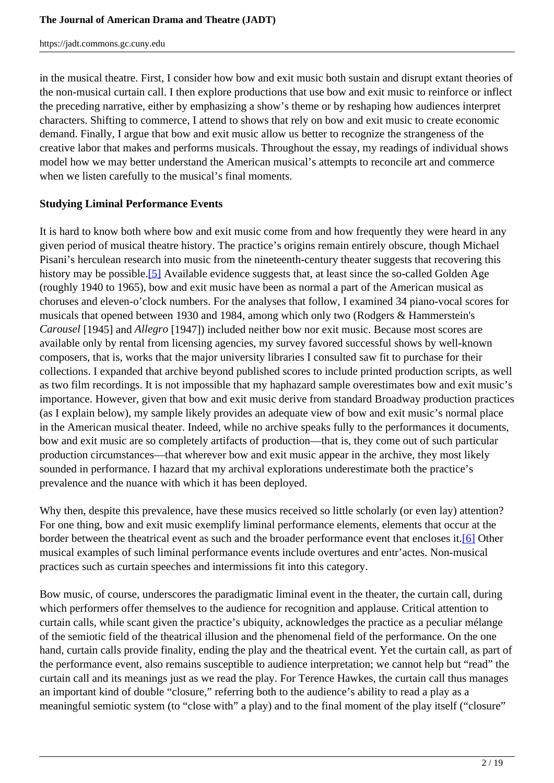<span id="page-1-0"></span>in the musical theatre. First, I consider how bow and exit music both sustain and disrupt extant theories of the non-musical curtain call. I then explore productions that use bow and exit music to reinforce or inflect the preceding narrative, either by emphasizing a show's theme or by reshaping how audiences interpret characters. Shifting to commerce, I attend to shows that rely on bow and exit music to create economic demand. Finally, I argue that bow and exit music allow us better to recognize the strangeness of the creative labor that makes and performs musicals. Throughout the essay, my readings of individual shows model how we may better understand the American musical's attempts to reconcile art and commerce when we listen carefully to the musical's final moments.

#### **Studying Liminal Performance Events**

It is hard to know both where bow and exit music come from and how frequently they were heard in any given period of musical theatre history. The practice's origins remain entirely obscure, though Michael Pisani's herculean research into music from the nineteenth-century theater suggests that recovering this history may be possible.<sup>[5]</sup> Available evidence suggests that, at least since the so-called Golden Age (roughly 1940 to 1965), bow and exit music have been as normal a part of the American musical as choruses and eleven-o'clock numbers. For the analyses that follow, I examined 34 piano-vocal scores for musicals that opened between 1930 and 1984, among which only two (Rodgers & Hammerstein's *Carousel* [1945] and *Allegro* [1947]) included neither bow nor exit music. Because most scores are available only by rental from licensing agencies, my survey favored successful shows by well-known composers, that is, works that the major university libraries I consulted saw fit to purchase for their collections. I expanded that archive beyond published scores to include printed production scripts, as well as two film recordings. It is not impossible that my haphazard sample overestimates bow and exit music's importance. However, given that bow and exit music derive from standard Broadway production practices (as I explain below), my sample likely provides an adequate view of bow and exit music's normal place in the American musical theater. Indeed, while no archive speaks fully to the performances it documents, bow and exit music are so completely artifacts of production—that is, they come out of such particular production circumstances—that wherever bow and exit music appear in the archive, they most likely sounded in performance. I hazard that my archival explorations underestimate both the practice's prevalence and the nuance with which it has been deployed.

Why then, despite this prevalence, have these musics received so little scholarly (or even lay) attention? For one thing, bow and exit music exemplify liminal performance elements, elements that occur at the border between the theatrical event as such and the broader performance event that encloses it.[\[6\]](#page-1-0) Other musical examples of such liminal performance events include overtures and entr'actes. Non-musical practices such as curtain speeches and intermissions fit into this category.

Bow music, of course, underscores the paradigmatic liminal event in the theater, the curtain call, during which performers offer themselves to the audience for recognition and applause. Critical attention to curtain calls, while scant given the practice's ubiquity, acknowledges the practice as a peculiar mélange of the semiotic field of the theatrical illusion and the phenomenal field of the performance. On the one hand, curtain calls provide finality, ending the play and the theatrical event. Yet the curtain call, as part of the performance event, also remains susceptible to audience interpretation; we cannot help but "read" the curtain call and its meanings just as we read the play. For Terence Hawkes, the curtain call thus manages an important kind of double "closure," referring both to the audience's ability to read a play as a meaningful semiotic system (to "close with" a play) and to the final moment of the play itself ("closure"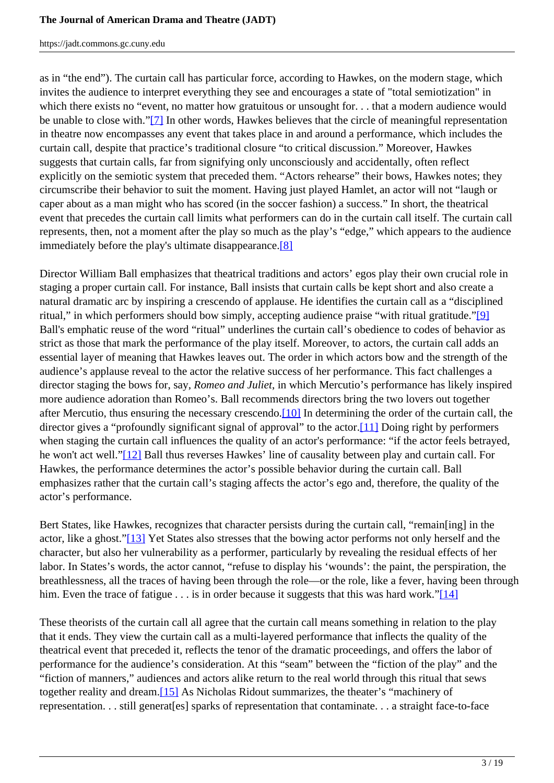<span id="page-2-0"></span>as in "the end"). The curtain call has particular force, according to Hawkes, on the modern stage, which invites the audience to interpret everything they see and encourages a state of "total semiotization" in which there exists no "event, no matter how gratuitous or unsought for. . . that a modern audience would be unable to close with.["\[7\]](#page-2-0) In other words, Hawkes believes that the circle of meaningful representation in theatre now encompasses any event that takes place in and around a performance, which includes the curtain call, despite that practice's traditional closure "to critical discussion." Moreover, Hawkes suggests that curtain calls, far from signifying only unconsciously and accidentally, often reflect explicitly on the semiotic system that preceded them. "Actors rehearse" their bows, Hawkes notes; they circumscribe their behavior to suit the moment. Having just played Hamlet, an actor will not "laugh or caper about as a man might who has scored (in the soccer fashion) a success." In short, the theatrical event that precedes the curtain call limits what performers can do in the curtain call itself. The curtain call represents, then, not a moment after the play so much as the play's "edge," which appears to the audience immediately before the play's ultimate disappearance.[\[8\]](#page-2-0)

Director William Ball emphasizes that theatrical traditions and actors' egos play their own crucial role in staging a proper curtain call. For instance, Ball insists that curtain calls be kept short and also create a natural dramatic arc by inspiring a crescendo of applause. He identifies the curtain call as a "disciplined ritual," in which performers should bow simply, accepting audience praise "with ritual gratitude.["\[9\]](#page-2-0) Ball's emphatic reuse of the word "ritual" underlines the curtain call's obedience to codes of behavior as strict as those that mark the performance of the play itself. Moreover, to actors, the curtain call adds an essential layer of meaning that Hawkes leaves out. The order in which actors bow and the strength of the audience's applause reveal to the actor the relative success of her performance. This fact challenges a director staging the bows for, say, *Romeo and Juliet*, in which Mercutio's performance has likely inspired more audience adoration than Romeo's. Ball recommends directors bring the two lovers out together after Mercutio, thus ensuring the necessary crescendo[.\[10\]](#page-2-0) In determining the order of the curtain call, the director gives a "profoundly significant signal of approval" to the actor.[\[11\]](#page-2-0) Doing right by performers when staging the curtain call influences the quality of an actor's performance: "if the actor feels betrayed, he won't act well."[\[12\]](#page-2-0) Ball thus reverses Hawkes' line of causality between play and curtain call. For Hawkes, the performance determines the actor's possible behavior during the curtain call. Ball emphasizes rather that the curtain call's staging affects the actor's ego and, therefore, the quality of the actor's performance.

Bert States, like Hawkes, recognizes that character persists during the curtain call, "remain[ing] in the actor, like a ghost.["\[13\]](#page-2-0) Yet States also stresses that the bowing actor performs not only herself and the character, but also her vulnerability as a performer, particularly by revealing the residual effects of her labor. In States's words, the actor cannot, "refuse to display his 'wounds': the paint, the perspiration, the breathlessness, all the traces of having been through the role—or the role, like a fever, having been through him. Even the trace of fatigue  $\dots$  is in order because it suggests that this was hard work." $[14]$ 

These theorists of the curtain call all agree that the curtain call means something in relation to the play that it ends. They view the curtain call as a multi-layered performance that inflects the quality of the theatrical event that preceded it, reflects the tenor of the dramatic proceedings, and offers the labor of performance for the audience's consideration. At this "seam" between the "fiction of the play" and the "fiction of manners," audiences and actors alike return to the real world through this ritual that sews together reality and dream.[\[15\]](#page-2-0) As Nicholas Ridout summarizes, the theater's "machinery of representation. . . still generat[es] sparks of representation that contaminate. . . a straight face-to-face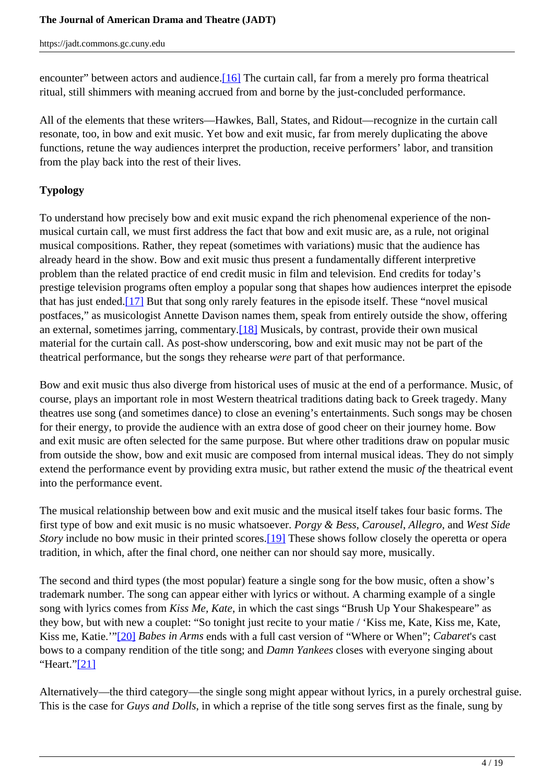<span id="page-3-0"></span>encounter" between actors and audience.<sup>[16]</sup> The curtain call, far from a merely pro forma theatrical ritual, still shimmers with meaning accrued from and borne by the just-concluded performance.

All of the elements that these writers—Hawkes, Ball, States, and Ridout—recognize in the curtain call resonate, too, in bow and exit music. Yet bow and exit music, far from merely duplicating the above functions, retune the way audiences interpret the production, receive performers' labor, and transition from the play back into the rest of their lives.

# **Typology**

To understand how precisely bow and exit music expand the rich phenomenal experience of the nonmusical curtain call, we must first address the fact that bow and exit music are, as a rule, not original musical compositions. Rather, they repeat (sometimes with variations) music that the audience has already heard in the show. Bow and exit music thus present a fundamentally different interpretive problem than the related practice of end credit music in film and television. End credits for today's prestige television programs often employ a popular song that shapes how audiences interpret the episode that has just ended.[\[17\]](#page-3-0) But that song only rarely features in the episode itself. These "novel musical postfaces," as musicologist Annette Davison names them, speak from entirely outside the show, offering an external, sometimes jarring, commentary.[\[18\]](#page-3-0) Musicals, by contrast, provide their own musical material for the curtain call. As post-show underscoring, bow and exit music may not be part of the theatrical performance, but the songs they rehearse *were* part of that performance.

Bow and exit music thus also diverge from historical uses of music at the end of a performance. Music, of course, plays an important role in most Western theatrical traditions dating back to Greek tragedy. Many theatres use song (and sometimes dance) to close an evening's entertainments. Such songs may be chosen for their energy, to provide the audience with an extra dose of good cheer on their journey home. Bow and exit music are often selected for the same purpose. But where other traditions draw on popular music from outside the show, bow and exit music are composed from internal musical ideas. They do not simply extend the performance event by providing extra music, but rather extend the music *of* the theatrical event into the performance event.

The musical relationship between bow and exit music and the musical itself takes four basic forms. The first type of bow and exit music is no music whatsoever. *Porgy & Bess*, *Carousel*, *Allegro*, and *West Side Story* include no bow music in their printed scores.<sup>[19]</sup> These shows follow closely the operetta or opera tradition, in which, after the final chord, one neither can nor should say more, musically.

The second and third types (the most popular) feature a single song for the bow music, often a show's trademark number. The song can appear either with lyrics or without. A charming example of a single song with lyrics comes from *Kiss Me, Kate*, in which the cast sings "Brush Up Your Shakespeare" as they bow, but with new a couplet: "So tonight just recite to your matie / 'Kiss me, Kate, Kiss me, Kate, Kiss me, Katie.'"[\[20\]](#page-3-0) *Babes in Arms* ends with a full cast version of "Where or When"; *Cabaret*'s cast bows to a company rendition of the title song; and *Damn Yankees* closes with everyone singing about "Heart."[\[21\]](#page-3-0)

Alternatively—the third category—the single song might appear without lyrics, in a purely orchestral guise. This is the case for *Guys and Dolls*, in which a reprise of the title song serves first as the finale, sung by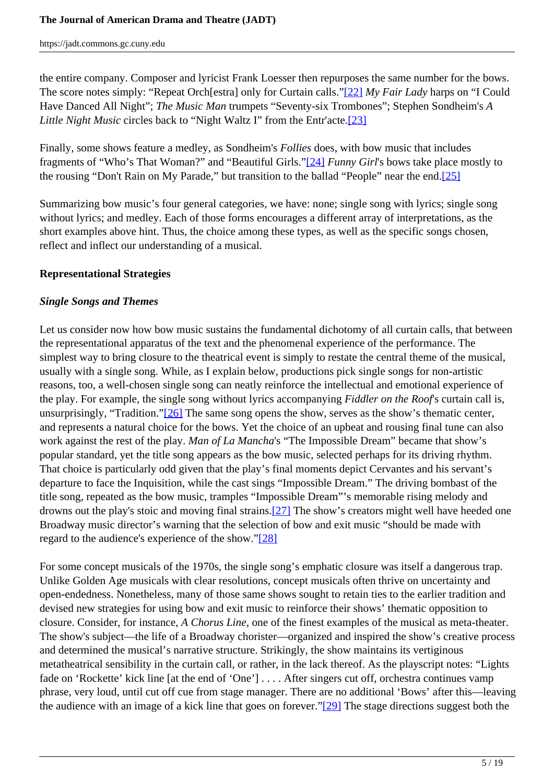<span id="page-4-0"></span>the entire company. Composer and lyricist Frank Loesser then repurposes the same number for the bows. The score notes simply: "Repeat Orch[estra] only for Curtain calls."[\[22\]](#page-4-0) *My Fair Lady* harps on "I Could Have Danced All Night"; *The Music Man* trumpets "Seventy-six Trombones"; Stephen Sondheim's *A Little Night Music* circles back to "Night Waltz I" from the Entr'acte.[\[23\]](#page-4-0)

Finally, some shows feature a medley, as Sondheim's *Follies* does, with bow music that includes fragments of "Who's That Woman?" and "Beautiful Girls.["\[24\]](#page-4-0) *Funny Girl*'s bows take place mostly to the rousing "Don't Rain on My Parade," but transition to the ballad "People" near the end.<sup>[\[25\]](#page-4-0)</sup>

Summarizing bow music's four general categories, we have: none; single song with lyrics; single song without lyrics; and medley. Each of those forms encourages a different array of interpretations, as the short examples above hint. Thus, the choice among these types, as well as the specific songs chosen, reflect and inflect our understanding of a musical.

#### **Representational Strategies**

#### *Single Songs and Themes*

Let us consider now how bow music sustains the fundamental dichotomy of all curtain calls, that between the representational apparatus of the text and the phenomenal experience of the performance. The simplest way to bring closure to the theatrical event is simply to restate the central theme of the musical, usually with a single song. While, as I explain below, productions pick single songs for non-artistic reasons, too, a well-chosen single song can neatly reinforce the intellectual and emotional experience of the play. For example, the single song without lyrics accompanying *Fiddler on the Roof*'s curtain call is, unsurprisingly, "Tradition.["\[26\]](#page-4-0) The same song opens the show, serves as the show's thematic center, and represents a natural choice for the bows. Yet the choice of an upbeat and rousing final tune can also work against the rest of the play. *Man of La Mancha*'s "The Impossible Dream" became that show's popular standard, yet the title song appears as the bow music, selected perhaps for its driving rhythm. That choice is particularly odd given that the play's final moments depict Cervantes and his servant's departure to face the Inquisition, while the cast sings "Impossible Dream." The driving bombast of the title song, repeated as the bow music, tramples "Impossible Dream"'s memorable rising melody and drowns out the play's stoic and moving final strains[.\[27\]](#page-4-0) The show's creators might well have heeded one Broadway music director's warning that the selection of bow and exit music "should be made with regard to the audience's experience of the show."[\[28\]](#page-4-0)

For some concept musicals of the 1970s, the single song's emphatic closure was itself a dangerous trap. Unlike Golden Age musicals with clear resolutions, concept musicals often thrive on uncertainty and open-endedness. Nonetheless, many of those same shows sought to retain ties to the earlier tradition and devised new strategies for using bow and exit music to reinforce their shows' thematic opposition to closure. Consider, for instance, *A Chorus Line*, one of the finest examples of the musical as meta-theater. The show's subject—the life of a Broadway chorister—organized and inspired the show's creative process and determined the musical's narrative structure. Strikingly, the show maintains its vertiginous metatheatrical sensibility in the curtain call, or rather, in the lack thereof. As the playscript notes: "Lights fade on 'Rockette' kick line [at the end of 'One'] . . . . After singers cut off, orchestra continues vamp phrase, very loud, until cut off cue from stage manager. There are no additional 'Bows' after this—leaving the audience with an image of a kick line that goes on forever."[\[29\]](#page-4-0) The stage directions suggest both the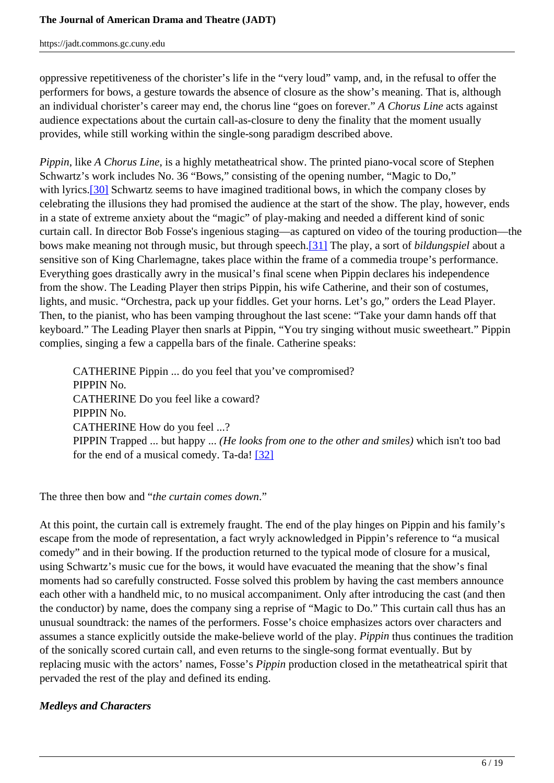<span id="page-5-0"></span>oppressive repetitiveness of the chorister's life in the "very loud" vamp, and, in the refusal to offer the performers for bows, a gesture towards the absence of closure as the show's meaning. That is, although an individual chorister's career may end, the chorus line "goes on forever." *A Chorus Line* acts against audience expectations about the curtain call-as-closure to deny the finality that the moment usually provides, while still working within the single-song paradigm described above.

*Pippin*, like *A Chorus Line*, is a highly metatheatrical show. The printed piano-vocal score of Stephen Schwartz's work includes No. 36 "Bows," consisting of the opening number, "Magic to Do," with lyrics.<sup>[30]</sup> Schwartz seems to have imagined traditional bows, in which the company closes by celebrating the illusions they had promised the audience at the start of the show. The play, however, ends in a state of extreme anxiety about the "magic" of play-making and needed a different kind of sonic curtain call. In director Bob Fosse's ingenious staging—as captured on video of the touring production—the bows make meaning not through music, but through speech.[\[31\]](#page-5-0) The play, a sort of *bildungspiel* about a sensitive son of King Charlemagne, takes place within the frame of a commedia troupe's performance. Everything goes drastically awry in the musical's final scene when Pippin declares his independence from the show. The Leading Player then strips Pippin, his wife Catherine, and their son of costumes, lights, and music. "Orchestra, pack up your fiddles. Get your horns. Let's go," orders the Lead Player. Then, to the pianist, who has been vamping throughout the last scene: "Take your damn hands off that keyboard." The Leading Player then snarls at Pippin, "You try singing without music sweetheart." Pippin complies, singing a few a cappella bars of the finale. Catherine speaks:

CATHERINE Pippin ... do you feel that you've compromised? PIPPIN No. CATHERINE Do you feel like a coward? PIPPIN No. CATHERINE How do you feel ...? PIPPIN Trapped ... but happy ... *(He looks from one to the other and smiles)* which isn't too bad for the end of a musical comedy. Ta-da! [\[32\]](#page-5-0)

The three then bow and "*the curtain comes down*."

At this point, the curtain call is extremely fraught. The end of the play hinges on Pippin and his family's escape from the mode of representation, a fact wryly acknowledged in Pippin's reference to "a musical comedy" and in their bowing. If the production returned to the typical mode of closure for a musical, using Schwartz's music cue for the bows, it would have evacuated the meaning that the show's final moments had so carefully constructed. Fosse solved this problem by having the cast members announce each other with a handheld mic, to no musical accompaniment. Only after introducing the cast (and then the conductor) by name, does the company sing a reprise of "Magic to Do." This curtain call thus has an unusual soundtrack: the names of the performers. Fosse's choice emphasizes actors over characters and assumes a stance explicitly outside the make-believe world of the play. *Pippin* thus continues the tradition of the sonically scored curtain call, and even returns to the single-song format eventually. But by replacing music with the actors' names, Fosse's *Pippin* production closed in the metatheatrical spirit that pervaded the rest of the play and defined its ending.

# *Medleys and Characters*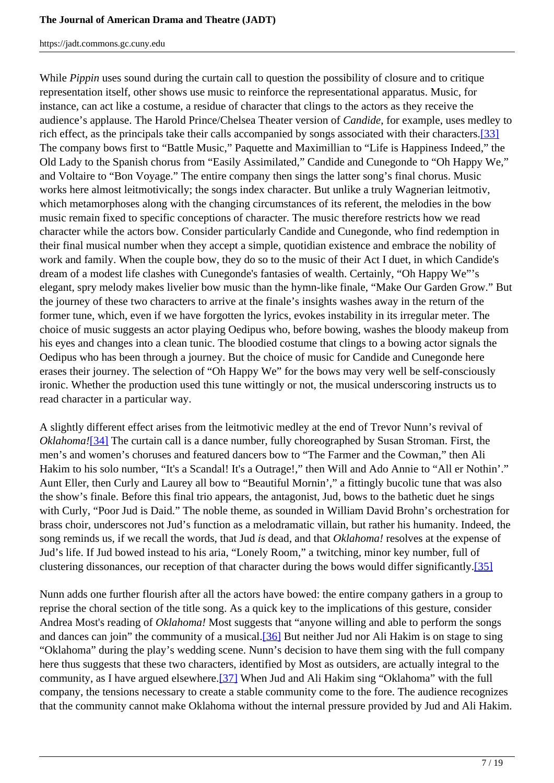<span id="page-6-0"></span>While *Pippin* uses sound during the curtain call to question the possibility of closure and to critique representation itself, other shows use music to reinforce the representational apparatus. Music, for instance, can act like a costume, a residue of character that clings to the actors as they receive the audience's applause. The Harold Prince/Chelsea Theater version of *Candide*, for example, uses medley to rich effect, as the principals take their calls accompanied by songs associated with their characters[.\[33\]](#page-6-0) The company bows first to "Battle Music," Paquette and Maximillian to "Life is Happiness Indeed," the Old Lady to the Spanish chorus from "Easily Assimilated," Candide and Cunegonde to "Oh Happy We," and Voltaire to "Bon Voyage." The entire company then sings the latter song's final chorus. Music works here almost leitmotivically; the songs index character. But unlike a truly Wagnerian leitmotiv, which metamorphoses along with the changing circumstances of its referent, the melodies in the bow music remain fixed to specific conceptions of character. The music therefore restricts how we read character while the actors bow. Consider particularly Candide and Cunegonde, who find redemption in their final musical number when they accept a simple, quotidian existence and embrace the nobility of work and family. When the couple bow, they do so to the music of their Act I duet, in which Candide's dream of a modest life clashes with Cunegonde's fantasies of wealth. Certainly, "Oh Happy We"'s elegant, spry melody makes livelier bow music than the hymn-like finale, "Make Our Garden Grow." But the journey of these two characters to arrive at the finale's insights washes away in the return of the former tune, which, even if we have forgotten the lyrics, evokes instability in its irregular meter. The choice of music suggests an actor playing Oedipus who, before bowing, washes the bloody makeup from his eyes and changes into a clean tunic. The bloodied costume that clings to a bowing actor signals the Oedipus who has been through a journey. But the choice of music for Candide and Cunegonde here erases their journey. The selection of "Oh Happy We" for the bows may very well be self-consciously ironic. Whether the production used this tune wittingly or not, the musical underscoring instructs us to read character in a particular way.

A slightly different effect arises from the leitmotivic medley at the end of Trevor Nunn's revival of *Oklahoma!*[\[34\]](#page-6-0) The curtain call is a dance number, fully choreographed by Susan Stroman. First, the men's and women's choruses and featured dancers bow to "The Farmer and the Cowman," then Ali Hakim to his solo number, "It's a Scandal! It's a Outrage!," then Will and Ado Annie to "All er Nothin'." Aunt Eller, then Curly and Laurey all bow to "Beautiful Mornin'," a fittingly bucolic tune that was also the show's finale. Before this final trio appears, the antagonist, Jud, bows to the bathetic duet he sings with Curly, "Poor Jud is Daid." The noble theme, as sounded in William David Brohn's orchestration for brass choir, underscores not Jud's function as a melodramatic villain, but rather his humanity. Indeed, the song reminds us, if we recall the words, that Jud *is* dead, and that *Oklahoma!* resolves at the expense of Jud's life. If Jud bowed instead to his aria, "Lonely Room," a twitching, minor key number, full of clustering dissonances, our reception of that character during the bows would differ significantly.[\[35\]](#page-6-0)

Nunn adds one further flourish after all the actors have bowed: the entire company gathers in a group to reprise the choral section of the title song. As a quick key to the implications of this gesture, consider Andrea Most's reading of *Oklahoma!* Most suggests that "anyone willing and able to perform the songs and dances can join" the community of a musical[.\[36\]](#page-6-0) But neither Jud nor Ali Hakim is on stage to sing "Oklahoma" during the play's wedding scene. Nunn's decision to have them sing with the full company here thus suggests that these two characters, identified by Most as outsiders, are actually integral to the community, as I have argued elsewhere[.\[37\]](#page-6-0) When Jud and Ali Hakim sing "Oklahoma" with the full company, the tensions necessary to create a stable community come to the fore. The audience recognizes that the community cannot make Oklahoma without the internal pressure provided by Jud and Ali Hakim.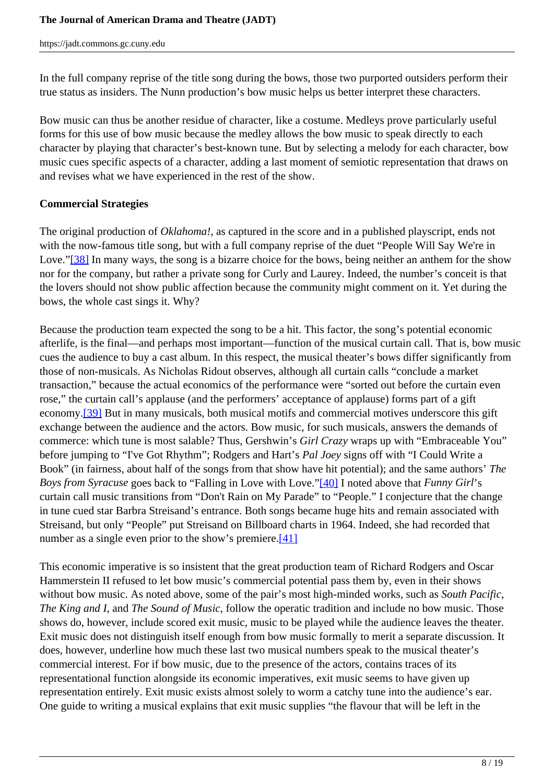<span id="page-7-0"></span>In the full company reprise of the title song during the bows, those two purported outsiders perform their true status as insiders. The Nunn production's bow music helps us better interpret these characters.

Bow music can thus be another residue of character, like a costume. Medleys prove particularly useful forms for this use of bow music because the medley allows the bow music to speak directly to each character by playing that character's best-known tune. But by selecting a melody for each character, bow music cues specific aspects of a character, adding a last moment of semiotic representation that draws on and revises what we have experienced in the rest of the show.

#### **Commercial Strategies**

The original production of *Oklahoma!*, as captured in the score and in a published playscript, ends not with the now-famous title song, but with a full company reprise of the duet "People Will Say We're in Love."[\[38\]](#page-7-0) In many ways, the song is a bizarre choice for the bows, being neither an anthem for the show nor for the company, but rather a private song for Curly and Laurey. Indeed, the number's conceit is that the lovers should not show public affection because the community might comment on it. Yet during the bows, the whole cast sings it. Why?

Because the production team expected the song to be a hit. This factor, the song's potential economic afterlife, is the final—and perhaps most important—function of the musical curtain call. That is, bow music cues the audience to buy a cast album. In this respect, the musical theater's bows differ significantly from those of non-musicals. As Nicholas Ridout observes, although all curtain calls "conclude a market transaction," because the actual economics of the performance were "sorted out before the curtain even rose," the curtain call's applause (and the performers' acceptance of applause) forms part of a gift economy.[\[39\]](#page-7-0) But in many musicals, both musical motifs and commercial motives underscore this gift exchange between the audience and the actors. Bow music, for such musicals, answers the demands of commerce: which tune is most salable? Thus, Gershwin's *Girl Crazy* wraps up with "Embraceable You" before jumping to "I've Got Rhythm"; Rodgers and Hart's *Pal Joey* signs off with "I Could Write a Book" (in fairness, about half of the songs from that show have hit potential); and the same authors' *The Boys from Syracuse* goes back to "Falling in Love with Love.["\[40\]](#page-7-0) I noted above that *Funny Girl*'s curtain call music transitions from "Don't Rain on My Parade" to "People." I conjecture that the change in tune cued star Barbra Streisand's entrance. Both songs became huge hits and remain associated with Streisand, but only "People" put Streisand on Billboard charts in 1964. Indeed, she had recorded that number as a single even prior to the show's premiere.<sup>[\[41\]](#page-7-0)</sup>

This economic imperative is so insistent that the great production team of Richard Rodgers and Oscar Hammerstein II refused to let bow music's commercial potential pass them by, even in their shows without bow music. As noted above, some of the pair's most high-minded works, such as *South Pacific*, *The King and I*, and *The Sound of Music*, follow the operatic tradition and include no bow music. Those shows do, however, include scored exit music, music to be played while the audience leaves the theater. Exit music does not distinguish itself enough from bow music formally to merit a separate discussion. It does, however, underline how much these last two musical numbers speak to the musical theater's commercial interest. For if bow music, due to the presence of the actors, contains traces of its representational function alongside its economic imperatives, exit music seems to have given up representation entirely. Exit music exists almost solely to worm a catchy tune into the audience's ear. One guide to writing a musical explains that exit music supplies "the flavour that will be left in the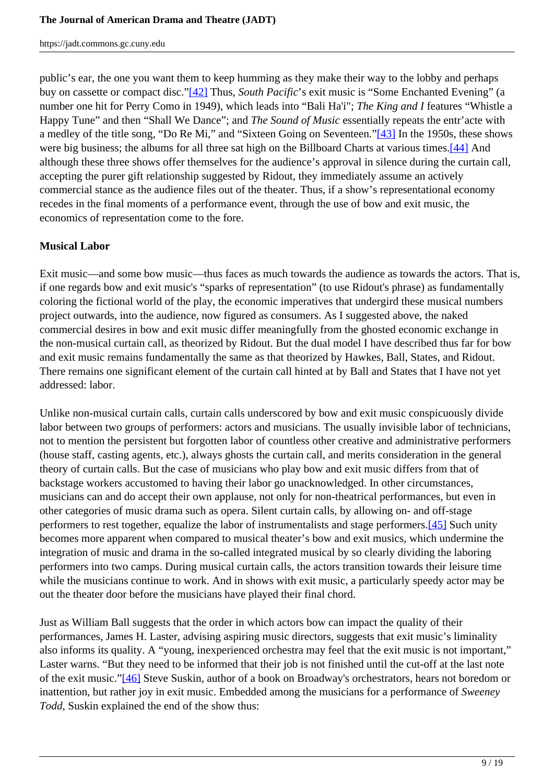<span id="page-8-0"></span>public's ear, the one you want them to keep humming as they make their way to the lobby and perhaps buy on cassette or compact disc.["\[42\]](#page-8-0) Thus, *South Pacific*'s exit music is "Some Enchanted Evening" (a number one hit for Perry Como in 1949), which leads into "Bali Ha'i"; *The King and I* features "Whistle a Happy Tune" and then "Shall We Dance"; and *The Sound of Music* essentially repeats the entr'acte with a medley of the title song, "Do Re Mi," and "Sixteen Going on Seventeen.["\[43\]](#page-8-0) In the 1950s, these shows were big business; the albums for all three sat high on the Billboard Charts at various times[.\[44\]](#page-8-0) And although these three shows offer themselves for the audience's approval in silence during the curtain call, accepting the purer gift relationship suggested by Ridout, they immediately assume an actively commercial stance as the audience files out of the theater. Thus, if a show's representational economy recedes in the final moments of a performance event, through the use of bow and exit music, the economics of representation come to the fore.

# **Musical Labor**

Exit music—and some bow music—thus faces as much towards the audience as towards the actors. That is, if one regards bow and exit music's "sparks of representation" (to use Ridout's phrase) as fundamentally coloring the fictional world of the play, the economic imperatives that undergird these musical numbers project outwards, into the audience, now figured as consumers. As I suggested above, the naked commercial desires in bow and exit music differ meaningfully from the ghosted economic exchange in the non-musical curtain call, as theorized by Ridout. But the dual model I have described thus far for bow and exit music remains fundamentally the same as that theorized by Hawkes, Ball, States, and Ridout. There remains one significant element of the curtain call hinted at by Ball and States that I have not yet addressed: labor.

Unlike non-musical curtain calls, curtain calls underscored by bow and exit music conspicuously divide labor between two groups of performers: actors and musicians. The usually invisible labor of technicians, not to mention the persistent but forgotten labor of countless other creative and administrative performers (house staff, casting agents, etc.), always ghosts the curtain call, and merits consideration in the general theory of curtain calls. But the case of musicians who play bow and exit music differs from that of backstage workers accustomed to having their labor go unacknowledged. In other circumstances, musicians can and do accept their own applause, not only for non-theatrical performances, but even in other categories of music drama such as opera. Silent curtain calls, by allowing on- and off-stage performers to rest together, equalize the labor of instrumentalists and stage performers[.\[45\]](#page-8-0) Such unity becomes more apparent when compared to musical theater's bow and exit musics, which undermine the integration of music and drama in the so-called integrated musical by so clearly dividing the laboring performers into two camps. During musical curtain calls, the actors transition towards their leisure time while the musicians continue to work. And in shows with exit music, a particularly speedy actor may be out the theater door before the musicians have played their final chord.

Just as William Ball suggests that the order in which actors bow can impact the quality of their performances, James H. Laster, advising aspiring music directors, suggests that exit music's liminality also informs its quality. A "young, inexperienced orchestra may feel that the exit music is not important," Laster warns. "But they need to be informed that their job is not finished until the cut-off at the last note of the exit music.["\[46\]](#page-8-0) Steve Suskin, author of a book on Broadway's orchestrators, hears not boredom or inattention, but rather joy in exit music. Embedded among the musicians for a performance of *Sweeney Todd*, Suskin explained the end of the show thus: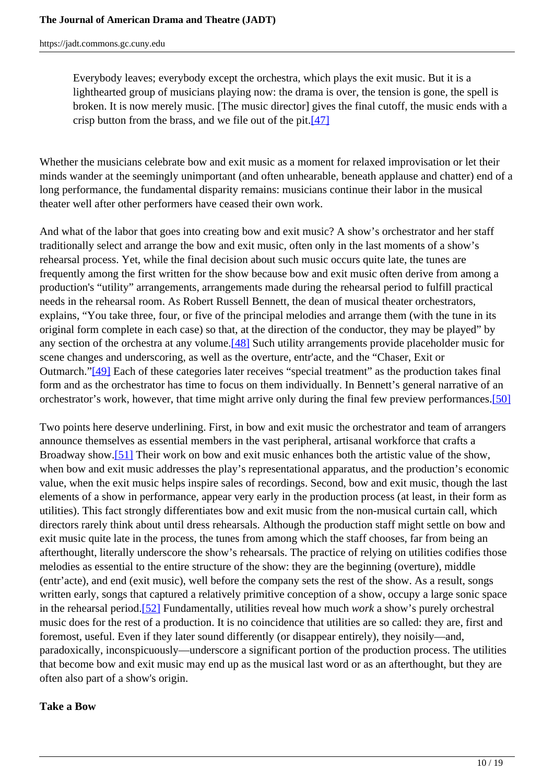<span id="page-9-0"></span>Everybody leaves; everybody except the orchestra, which plays the exit music. But it is a lighthearted group of musicians playing now: the drama is over, the tension is gone, the spell is broken. It is now merely music. [The music director] gives the final cutoff, the music ends with a crisp button from the brass, and we file out of the pit[.\[47\]](#page-9-0)

Whether the musicians celebrate bow and exit music as a moment for relaxed improvisation or let their minds wander at the seemingly unimportant (and often unhearable, beneath applause and chatter) end of a long performance, the fundamental disparity remains: musicians continue their labor in the musical theater well after other performers have ceased their own work.

And what of the labor that goes into creating bow and exit music? A show's orchestrator and her staff traditionally select and arrange the bow and exit music, often only in the last moments of a show's rehearsal process. Yet, while the final decision about such music occurs quite late, the tunes are frequently among the first written for the show because bow and exit music often derive from among a production's "utility" arrangements, arrangements made during the rehearsal period to fulfill practical needs in the rehearsal room. As Robert Russell Bennett, the dean of musical theater orchestrators, explains, "You take three, four, or five of the principal melodies and arrange them (with the tune in its original form complete in each case) so that, at the direction of the conductor, they may be played" by any section of the orchestra at any volume.<sup>[48]</sup> Such utility arrangements provide placeholder music for scene changes and underscoring, as well as the overture, entr'acte, and the "Chaser, Exit or Outmarch."[\[49\]](#page-9-0) Each of these categories later receives "special treatment" as the production takes final form and as the orchestrator has time to focus on them individually. In Bennett's general narrative of an orchestrator's work, however, that time might arrive only during the final few preview performances[.\[50\]](#page-9-0)

Two points here deserve underlining. First, in bow and exit music the orchestrator and team of arrangers announce themselves as essential members in the vast peripheral, artisanal workforce that crafts a Broadway show[.\[51\]](#page-9-0) Their work on bow and exit music enhances both the artistic value of the show, when bow and exit music addresses the play's representational apparatus, and the production's economic value, when the exit music helps inspire sales of recordings. Second, bow and exit music, though the last elements of a show in performance, appear very early in the production process (at least, in their form as utilities). This fact strongly differentiates bow and exit music from the non-musical curtain call, which directors rarely think about until dress rehearsals. Although the production staff might settle on bow and exit music quite late in the process, the tunes from among which the staff chooses, far from being an afterthought, literally underscore the show's rehearsals. The practice of relying on utilities codifies those melodies as essential to the entire structure of the show: they are the beginning (overture), middle (entr'acte), and end (exit music), well before the company sets the rest of the show. As a result, songs written early, songs that captured a relatively primitive conception of a show, occupy a large sonic space in the rehearsal period[.\[52\]](#page-9-0) Fundamentally, utilities reveal how much *work* a show's purely orchestral music does for the rest of a production. It is no coincidence that utilities are so called: they are, first and foremost, useful. Even if they later sound differently (or disappear entirely), they noisily—and, paradoxically, inconspicuously—underscore a significant portion of the production process. The utilities that become bow and exit music may end up as the musical last word or as an afterthought, but they are often also part of a show's origin.

#### **Take a Bow**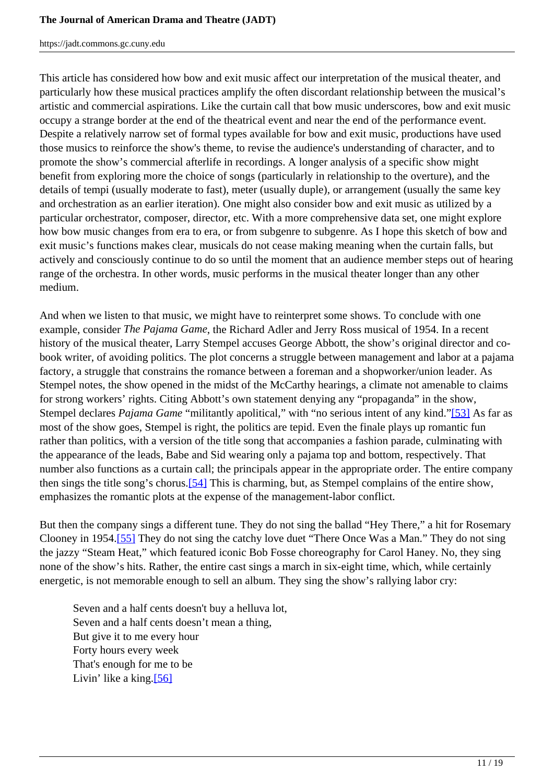<span id="page-10-0"></span>This article has considered how bow and exit music affect our interpretation of the musical theater, and particularly how these musical practices amplify the often discordant relationship between the musical's artistic and commercial aspirations. Like the curtain call that bow music underscores, bow and exit music occupy a strange border at the end of the theatrical event and near the end of the performance event. Despite a relatively narrow set of formal types available for bow and exit music, productions have used those musics to reinforce the show's theme, to revise the audience's understanding of character, and to promote the show's commercial afterlife in recordings. A longer analysis of a specific show might benefit from exploring more the choice of songs (particularly in relationship to the overture), and the details of tempi (usually moderate to fast), meter (usually duple), or arrangement (usually the same key and orchestration as an earlier iteration). One might also consider bow and exit music as utilized by a particular orchestrator, composer, director, etc. With a more comprehensive data set, one might explore how bow music changes from era to era, or from subgenre to subgenre. As I hope this sketch of bow and exit music's functions makes clear, musicals do not cease making meaning when the curtain falls, but actively and consciously continue to do so until the moment that an audience member steps out of hearing range of the orchestra. In other words, music performs in the musical theater longer than any other medium.

And when we listen to that music, we might have to reinterpret some shows. To conclude with one example, consider *The Pajama Game*, the Richard Adler and Jerry Ross musical of 1954. In a recent history of the musical theater, Larry Stempel accuses George Abbott, the show's original director and cobook writer, of avoiding politics. The plot concerns a struggle between management and labor at a pajama factory, a struggle that constrains the romance between a foreman and a shopworker/union leader. As Stempel notes, the show opened in the midst of the McCarthy hearings, a climate not amenable to claims for strong workers' rights. Citing Abbott's own statement denying any "propaganda" in the show, Stempel declares *Pajama Game* "militantly apolitical," with "no serious intent of any kind.["\[53\]](#page-10-0) As far as most of the show goes, Stempel is right, the politics are tepid. Even the finale plays up romantic fun rather than politics, with a version of the title song that accompanies a fashion parade, culminating with the appearance of the leads, Babe and Sid wearing only a pajama top and bottom, respectively. That number also functions as a curtain call; the principals appear in the appropriate order. The entire company then sings the title song's chorus.[\[54\]](#page-10-0) This is charming, but, as Stempel complains of the entire show, emphasizes the romantic plots at the expense of the management-labor conflict.

But then the company sings a different tune. They do not sing the ballad "Hey There," a hit for Rosemary Clooney in 1954.[\[55\]](#page-10-0) They do not sing the catchy love duet "There Once Was a Man." They do not sing the jazzy "Steam Heat," which featured iconic Bob Fosse choreography for Carol Haney. No, they sing none of the show's hits. Rather, the entire cast sings a march in six-eight time, which, while certainly energetic, is not memorable enough to sell an album. They sing the show's rallying labor cry:

Seven and a half cents doesn't buy a helluva lot, Seven and a half cents doesn't mean a thing, But give it to me every hour Forty hours every week That's enough for me to be Livin' like a king.<sup>[56]</sup>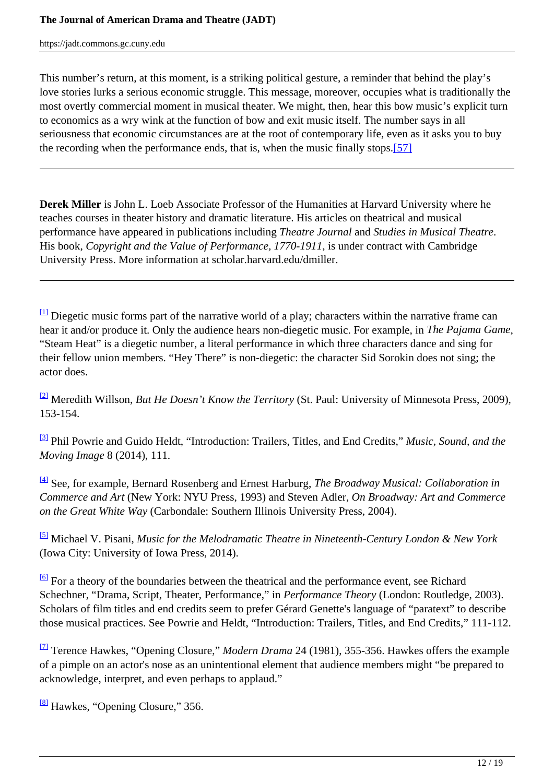<span id="page-11-0"></span>This number's return, at this moment, is a striking political gesture, a reminder that behind the play's love stories lurks a serious economic struggle. This message, moreover, occupies what is traditionally the most overtly commercial moment in musical theater. We might, then, hear this bow music's explicit turn to economics as a wry wink at the function of bow and exit music itself. The number says in all seriousness that economic circumstances are at the root of contemporary life, even as it asks you to buy the recording when the performance ends, that is, when the music finally stops.[\[57\]](#page-11-0)

**Derek Miller** is John L. Loeb Associate Professor of the Humanities at Harvard University where he teaches courses in theater history and dramatic literature. His articles on theatrical and musical performance have appeared in publications including *Theatre Journal* and *Studies in Musical Theatre*. His book, *Copyright and the Value of Performance, 1770-1911*, is under contract with Cambridge University Press. More information at scholar.harvard.edu/dmiller.

 $\Box$  Diegetic music forms part of the narrative world of a play; characters within the narrative frame can hear it and/or produce it. Only the audience hears non-diegetic music. For example, in *The Pajama Game*, "Steam Heat" is a diegetic number, a literal performance in which three characters dance and sing for their fellow union members. "Hey There" is non-diegetic: the character Sid Sorokin does not sing; the actor does.

[\[2\]](#page-11-0) Meredith Willson, *But He Doesn't Know the Territory* (St. Paul: University of Minnesota Press, 2009), 153-154.

[\[3\]](#page-11-0) Phil Powrie and Guido Heldt, "Introduction: Trailers, Titles, and End Credits," *Music, Sound, and the Moving Image* 8 (2014), 111.

[\[4\]](#page-11-0) See, for example, Bernard Rosenberg and Ernest Harburg, *The Broadway Musical: Collaboration in Commerce and Art* (New York: NYU Press, 1993) and Steven Adler, *On Broadway: Art and Commerce on the Great White Way* (Carbondale: Southern Illinois University Press, 2004).

[\[5\]](#page-11-0) Michael V. Pisani, *Music for the Melodramatic Theatre in Nineteenth-Century London & New York* (Iowa City: University of Iowa Press, 2014).

<sup>[\[6\]](#page-11-0)</sup> For a theory of the boundaries between the theatrical and the performance event, see Richard Schechner, "Drama, Script, Theater, Performance," in *Performance Theory* (London: Routledge, 2003). Scholars of film titles and end credits seem to prefer Gérard Genette's language of "paratext" to describe those musical practices. See Powrie and Heldt, "Introduction: Trailers, Titles, and End Credits," 111-112.

<sup>[\[7\]](#page-11-0)</sup> Terence Hawkes, "Opening Closure," *Modern Drama* 24 (1981), 355-356. Hawkes offers the example of a pimple on an actor's nose as an unintentional element that audience members might "be prepared to acknowledge, interpret, and even perhaps to applaud."

<sup>[\[8\]](#page-11-0)</sup> Hawkes, "Opening Closure," 356.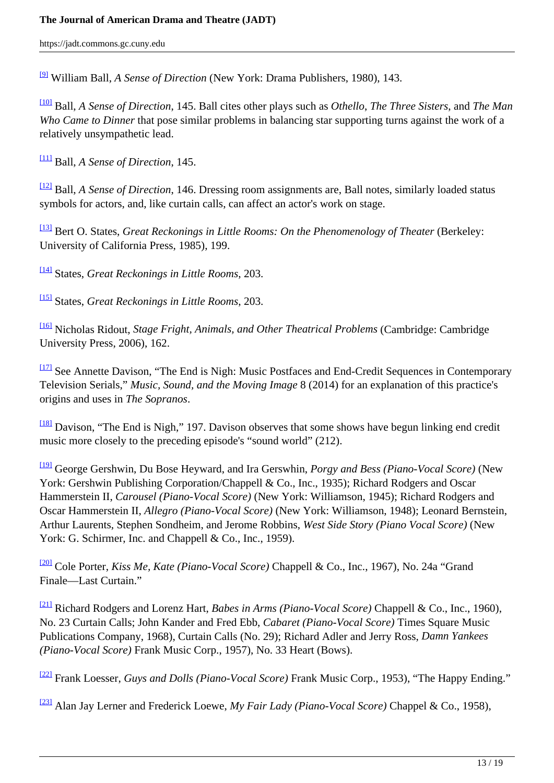<span id="page-12-0"></span>[\[9\]](#page-12-0) William Ball, *A Sense of Direction* (New York: Drama Publishers, 1980), 143.

[\[10\]](#page-12-0) Ball, *A Sense of Direction*, 145. Ball cites other plays such as *Othello*, *The Three Sisters*, and *The Man Who Came to Dinner* that pose similar problems in balancing star supporting turns against the work of a relatively unsympathetic lead.

[\[11\]](#page-12-0) Ball, *A Sense of Direction*, 145.

[\[12\]](#page-12-0) Ball, *A Sense of Direction*, 146. Dressing room assignments are, Ball notes, similarly loaded status symbols for actors, and, like curtain calls, can affect an actor's work on stage.

[\[13\]](#page-12-0) Bert O. States, *Great Reckonings in Little Rooms: On the Phenomenology of Theater* (Berkeley: University of California Press, 1985), 199.

[\[14\]](#page-12-0) States, *Great Reckonings in Little Rooms*, 203.

[\[15\]](#page-12-0) States, *Great Reckonings in Little Rooms*, 203.

[\[16\]](#page-12-0) Nicholas Ridout, *Stage Fright, Animals, and Other Theatrical Problems* (Cambridge: Cambridge University Press, 2006), 162.

<sup>[\[17\]](#page-12-0)</sup> See Annette Davison, "The End is Nigh: Music Postfaces and End-Credit Sequences in Contemporary Television Serials," *Music, Sound, and the Moving Image* 8 (2014) for an explanation of this practice's origins and uses in *The Sopranos*.

[\[18\]](#page-12-0) Davison, "The End is Nigh," 197. Davison observes that some shows have begun linking end credit music more closely to the preceding episode's "sound world" (212).

[\[19\]](#page-12-0) George Gershwin, Du Bose Heyward, and Ira Gerswhin, *Porgy and Bess (Piano-Vocal Score)* (New York: Gershwin Publishing Corporation/Chappell & Co., Inc., 1935); Richard Rodgers and Oscar Hammerstein II, *Carousel (Piano-Vocal Score)* (New York: Williamson, 1945); Richard Rodgers and Oscar Hammerstein II, *Allegro (Piano-Vocal Score)* (New York: Williamson, 1948); Leonard Bernstein, Arthur Laurents, Stephen Sondheim, and Jerome Robbins, *West Side Story (Piano Vocal Score)* (New York: G. Schirmer, Inc. and Chappell & Co., Inc., 1959).

[\[20\]](#page-12-0) Cole Porter, *Kiss Me, Kate (Piano-Vocal Score)* Chappell & Co., Inc., 1967), No. 24a "Grand Finale—Last Curtain."

[\[21\]](#page-12-0) Richard Rodgers and Lorenz Hart, *Babes in Arms (Piano-Vocal Score)* Chappell & Co., Inc., 1960), No. 23 Curtain Calls; John Kander and Fred Ebb, *Cabaret (Piano-Vocal Score)* Times Square Music Publications Company, 1968), Curtain Calls (No. 29); Richard Adler and Jerry Ross, *Damn Yankees (Piano-Vocal Score)* Frank Music Corp., 1957), No. 33 Heart (Bows).

[\[22\]](#page-12-0) Frank Loesser, *Guys and Dolls (Piano-Vocal Score)* Frank Music Corp., 1953), "The Happy Ending."

[\[23\]](#page-12-0) Alan Jay Lerner and Frederick Loewe, *My Fair Lady (Piano-Vocal Score)* Chappel & Co., 1958),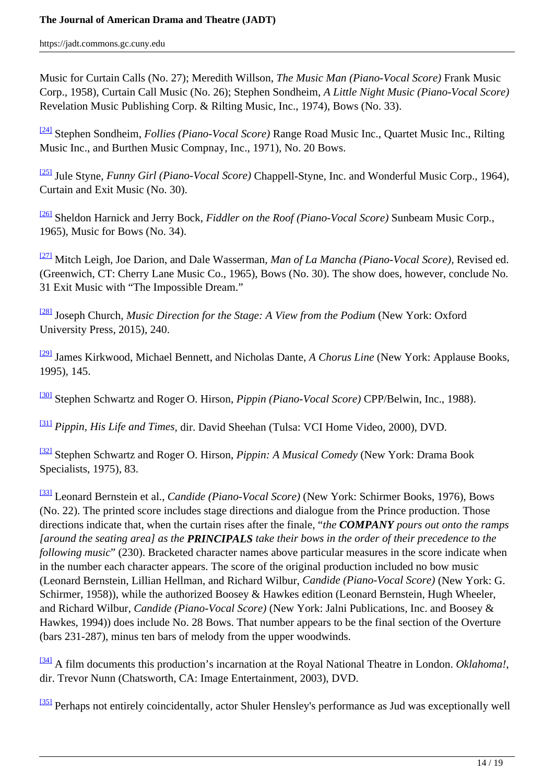<span id="page-13-0"></span>Music for Curtain Calls (No. 27); Meredith Willson, *The Music Man (Piano-Vocal Score)* Frank Music Corp., 1958), Curtain Call Music (No. 26); Stephen Sondheim, *A Little Night Music (Piano-Vocal Score)* Revelation Music Publishing Corp. & Rilting Music, Inc., 1974), Bows (No. 33).

[\[24\]](#page-13-0) Stephen Sondheim, *Follies (Piano-Vocal Score)* Range Road Music Inc., Quartet Music Inc., Rilting Music Inc., and Burthen Music Compnay, Inc., 1971), No. 20 Bows.

[\[25\]](#page-13-0) Jule Styne, *Funny Girl (Piano-Vocal Score)* Chappell-Styne, Inc. and Wonderful Music Corp., 1964), Curtain and Exit Music (No. 30).

[\[26\]](#page-13-0) Sheldon Harnick and Jerry Bock, *Fiddler on the Roof (Piano-Vocal Score)* Sunbeam Music Corp., 1965), Music for Bows (No. 34).

[\[27\]](#page-13-0) Mitch Leigh, Joe Darion, and Dale Wasserman, *Man of La Mancha (Piano-Vocal Score)*, Revised ed. (Greenwich, CT: Cherry Lane Music Co., 1965), Bows (No. 30). The show does, however, conclude No. 31 Exit Music with "The Impossible Dream."

[\[28\]](#page-13-0) Joseph Church, *Music Direction for the Stage: A View from the Podium* (New York: Oxford University Press, 2015), 240.

[\[29\]](#page-13-0) James Kirkwood, Michael Bennett, and Nicholas Dante, *A Chorus Line* (New York: Applause Books, 1995), 145.

[\[30\]](#page-13-0) Stephen Schwartz and Roger O. Hirson, *Pippin (Piano-Vocal Score)* CPP/Belwin, Inc., 1988).

[\[31\]](#page-13-0) *Pippin, His Life and Times*, dir. David Sheehan (Tulsa: VCI Home Video, 2000), DVD.

[\[32\]](#page-13-0) Stephen Schwartz and Roger O. Hirson, *Pippin: A Musical Comedy* (New York: Drama Book Specialists, 1975), 83.

[\[33\]](#page-13-0) Leonard Bernstein et al., *Candide (Piano-Vocal Score)* (New York: Schirmer Books, 1976), Bows (No. 22). The printed score includes stage directions and dialogue from the Prince production. Those directions indicate that, when the curtain rises after the finale, "*the COMPANY pours out onto the ramps [around the seating area] as the PRINCIPALS take their bows in the order of their precedence to the following music*" (230). Bracketed character names above particular measures in the score indicate when in the number each character appears. The score of the original production included no bow music (Leonard Bernstein, Lillian Hellman, and Richard Wilbur, *Candide (Piano-Vocal Score)* (New York: G. Schirmer, 1958)), while the authorized Boosey & Hawkes edition (Leonard Bernstein, Hugh Wheeler, and Richard Wilbur, *Candide (Piano-Vocal Score)* (New York: Jalni Publications, Inc. and Boosey & Hawkes, 1994)) does include No. 28 Bows. That number appears to be the final section of the Overture (bars 231-287), minus ten bars of melody from the upper woodwinds.

[\[34\]](#page-13-0) A film documents this production's incarnation at the Royal National Theatre in London. *Oklahoma!*, dir. Trevor Nunn (Chatsworth, CA: Image Entertainment, 2003), DVD.

[\[35\]](#page-13-0) Perhaps not entirely coincidentally, actor Shuler Hensley's performance as Jud was exceptionally well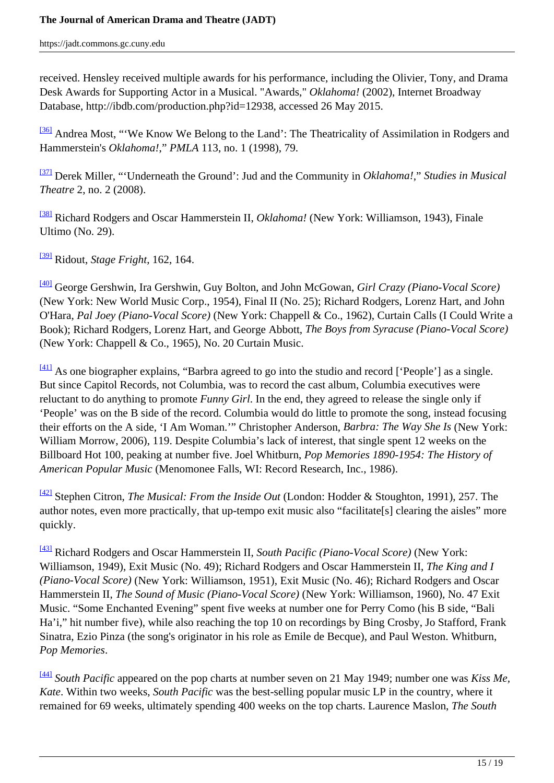<span id="page-14-0"></span>received. Hensley received multiple awards for his performance, including the Olivier, Tony, and Drama Desk Awards for Supporting Actor in a Musical. "Awards," *Oklahoma!* (2002), Internet Broadway Database, http://ibdb.com/production.php?id=12938, accessed 26 May 2015.

[\[36\]](#page-14-0) Andrea Most, "'We Know We Belong to the Land': The Theatricality of Assimilation in Rodgers and Hammerstein's *Oklahoma!*," *PMLA* 113, no. 1 (1998), 79.

[\[37\]](#page-14-0) Derek Miller, "'Underneath the Ground': Jud and the Community in *Oklahoma!*," *Studies in Musical Theatre* 2, no. 2 (2008).

[\[38\]](#page-14-0) Richard Rodgers and Oscar Hammerstein II, *Oklahoma!* (New York: Williamson, 1943), Finale Ultimo (No. 29).

[\[39\]](#page-14-0) Ridout, *Stage Fright*, 162, 164.

[\[40\]](#page-14-0) George Gershwin, Ira Gershwin, Guy Bolton, and John McGowan, *Girl Crazy (Piano-Vocal Score)* (New York: New World Music Corp., 1954), Final II (No. 25); Richard Rodgers, Lorenz Hart, and John O'Hara, *Pal Joey (Piano-Vocal Score)* (New York: Chappell & Co., 1962), Curtain Calls (I Could Write a Book); Richard Rodgers, Lorenz Hart, and George Abbott, *The Boys from Syracuse (Piano-Vocal Score)* (New York: Chappell & Co., 1965), No. 20 Curtain Music.

 $\frac{[41]}{[41]}$  $\frac{[41]}{[41]}$  $\frac{[41]}{[41]}$  As one biographer explains, "Barbra agreed to go into the studio and record ['People'] as a single. But since Capitol Records, not Columbia, was to record the cast album, Columbia executives were reluctant to do anything to promote *Funny Girl*. In the end, they agreed to release the single only if 'People' was on the B side of the record. Columbia would do little to promote the song, instead focusing their efforts on the A side, 'I Am Woman.'" Christopher Anderson, *Barbra: The Way She Is* (New York: William Morrow, 2006), 119. Despite Columbia's lack of interest, that single spent 12 weeks on the Billboard Hot 100, peaking at number five. Joel Whitburn, *Pop Memories 1890-1954: The History of American Popular Music* (Menomonee Falls, WI: Record Research, Inc., 1986).

[\[42\]](#page-14-0) Stephen Citron, *The Musical: From the Inside Out* (London: Hodder & Stoughton, 1991), 257. The author notes, even more practically, that up-tempo exit music also "facilitate[s] clearing the aisles" more quickly.

[\[43\]](#page-14-0) Richard Rodgers and Oscar Hammerstein II, *South Pacific (Piano-Vocal Score)* (New York: Williamson, 1949), Exit Music (No. 49); Richard Rodgers and Oscar Hammerstein II, *The King and I (Piano-Vocal Score)* (New York: Williamson, 1951), Exit Music (No. 46); Richard Rodgers and Oscar Hammerstein II, *The Sound of Music (Piano-Vocal Score)* (New York: Williamson, 1960), No. 47 Exit Music. "Some Enchanted Evening" spent five weeks at number one for Perry Como (his B side, "Bali Ha'i," hit number five), while also reaching the top 10 on recordings by Bing Crosby, Jo Stafford, Frank Sinatra, Ezio Pinza (the song's originator in his role as Emile de Becque), and Paul Weston. Whitburn, *Pop Memories*.

[\[44\]](#page-14-0) *South Pacific* appeared on the pop charts at number seven on 21 May 1949; number one was *Kiss Me, Kate*. Within two weeks, *South Pacific* was the best-selling popular music LP in the country, where it remained for 69 weeks, ultimately spending 400 weeks on the top charts. Laurence Maslon, *The South*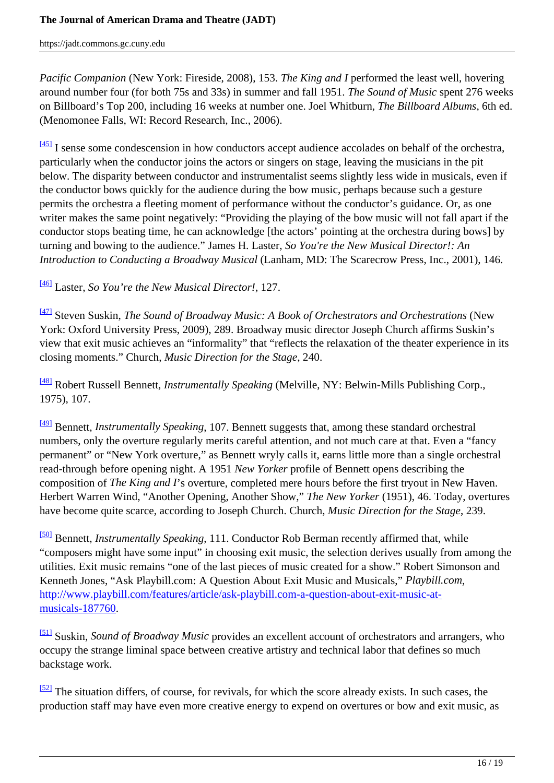<span id="page-15-0"></span>*Pacific Companion* (New York: Fireside, 2008), 153. *The King and I* performed the least well, hovering around number four (for both 75s and 33s) in summer and fall 1951. *The Sound of Music* spent 276 weeks on Billboard's Top 200, including 16 weeks at number one. Joel Whitburn, *The Billboard Albums*, 6th ed. (Menomonee Falls, WI: Record Research, Inc., 2006).

<sup>[\[45\]](#page-15-0)</sup> I sense some condescension in how conductors accept audience accolades on behalf of the orchestra, particularly when the conductor joins the actors or singers on stage, leaving the musicians in the pit below. The disparity between conductor and instrumentalist seems slightly less wide in musicals, even if the conductor bows quickly for the audience during the bow music, perhaps because such a gesture permits the orchestra a fleeting moment of performance without the conductor's guidance. Or, as one writer makes the same point negatively: "Providing the playing of the bow music will not fall apart if the conductor stops beating time, he can acknowledge [the actors' pointing at the orchestra during bows] by turning and bowing to the audience." James H. Laster, *So You're the New Musical Director!: An Introduction to Conducting a Broadway Musical* (Lanham, MD: The Scarecrow Press, Inc., 2001), 146.

# [\[46\]](#page-15-0) Laster, *So You're the New Musical Director!*, 127.

[\[47\]](#page-15-0) Steven Suskin, *The Sound of Broadway Music: A Book of Orchestrators and Orchestrations* (New York: Oxford University Press, 2009), 289. Broadway music director Joseph Church affirms Suskin's view that exit music achieves an "informality" that "reflects the relaxation of the theater experience in its closing moments." Church, *Music Direction for the Stage*, 240.

[\[48\]](#page-15-0) Robert Russell Bennett, *Instrumentally Speaking* (Melville, NY: Belwin-Mills Publishing Corp., 1975), 107.

[\[49\]](#page-15-0) Bennett, *Instrumentally Speaking*, 107. Bennett suggests that, among these standard orchestral numbers, only the overture regularly merits careful attention, and not much care at that. Even a "fancy permanent" or "New York overture," as Bennett wryly calls it, earns little more than a single orchestral read-through before opening night. A 1951 *New Yorker* profile of Bennett opens describing the composition of *The King and I*'s overture, completed mere hours before the first tryout in New Haven. Herbert Warren Wind, "Another Opening, Another Show," *The New Yorker* (1951), 46. Today, overtures have become quite scarce, according to Joseph Church. Church, *Music Direction for the Stage*, 239.

[\[50\]](#page-15-0) Bennett, *Instrumentally Speaking*, 111. Conductor Rob Berman recently affirmed that, while "composers might have some input" in choosing exit music, the selection derives usually from among the utilities. Exit music remains "one of the last pieces of music created for a show." Robert Simonson and Kenneth Jones, "Ask Playbill.com: A Question About Exit Music and Musicals," *Playbill.com*, [http://www.playbill.com/features/article/ask-playbill.com-a-question-about-exit-music-at](http://www.playbill.com/features/article/ask-playbill.com-a-question-about-exit-music-at-musicals-187760)[musicals-187760.](http://www.playbill.com/features/article/ask-playbill.com-a-question-about-exit-music-at-musicals-187760)

[\[51\]](#page-15-0) Suskin, *Sound of Broadway Music* provides an excellent account of orchestrators and arrangers, who occupy the strange liminal space between creative artistry and technical labor that defines so much backstage work.

<sup>[\[52\]](#page-15-0)</sup> The situation differs, of course, for revivals, for which the score already exists. In such cases, the production staff may have even more creative energy to expend on overtures or bow and exit music, as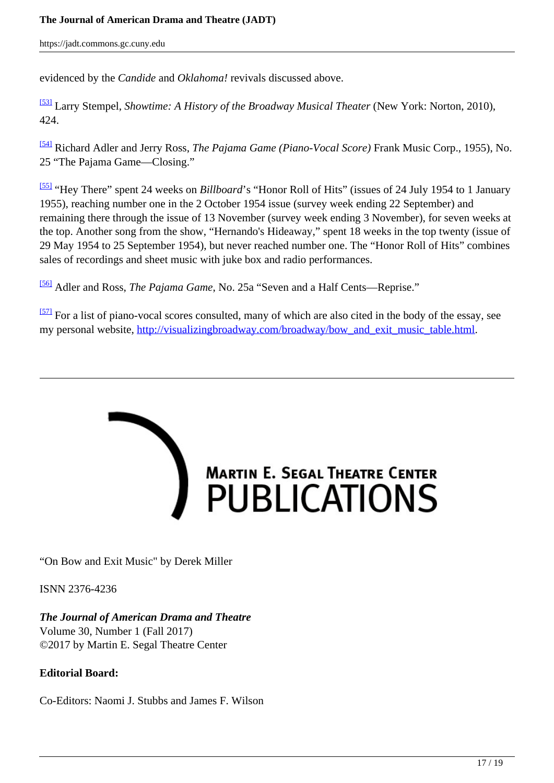<span id="page-16-0"></span>evidenced by the *Candide* and *Oklahoma!* revivals discussed above.

[\[53\]](#page-16-0) Larry Stempel, *Showtime: A History of the Broadway Musical Theater* (New York: Norton, 2010), 424.

[\[54\]](#page-16-0) Richard Adler and Jerry Ross, *The Pajama Game (Piano-Vocal Score)* Frank Music Corp., 1955), No. 25 "The Pajama Game—Closing."

[\[55\]](#page-16-0) "Hey There" spent 24 weeks on *Billboard*'s "Honor Roll of Hits" (issues of 24 July 1954 to 1 January 1955), reaching number one in the 2 October 1954 issue (survey week ending 22 September) and remaining there through the issue of 13 November (survey week ending 3 November), for seven weeks at the top. Another song from the show, "Hernando's Hideaway," spent 18 weeks in the top twenty (issue of 29 May 1954 to 25 September 1954), but never reached number one. The "Honor Roll of Hits" combines sales of recordings and sheet music with juke box and radio performances.

[\[56\]](#page-16-0) Adler and Ross, *The Pajama Game*, No. 25a "Seven and a Half Cents—Reprise."

[\[57\]](#page-16-0) For a list of piano-vocal scores consulted, many of which are also cited in the body of the essay, see my personal website, [http://visualizingbroadway.com/broadway/bow\\_and\\_exit\\_music\\_table.html](http://visualizingbroadway.com/broadway/bow_and_exit_music_table.html).



"On Bow and Exit Music" by Derek Miller

ISNN 2376-4236

*The Journal of American Drama and Theatre* Volume 30, Number 1 (Fall 2017) ©2017 by Martin E. Segal Theatre Center

# **Editorial Board:**

Co-Editors: Naomi J. Stubbs and James F. Wilson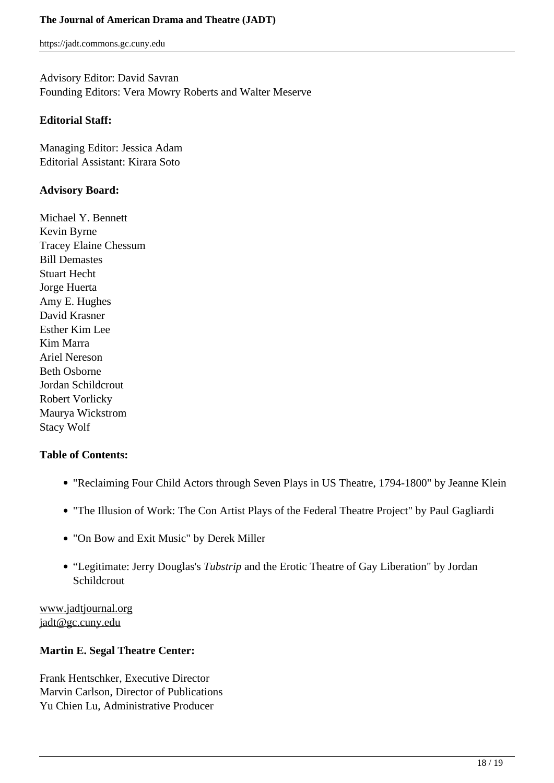Advisory Editor: David Savran Founding Editors: Vera Mowry Roberts and Walter Meserve

#### **Editorial Staff:**

Managing Editor: Jessica Adam Editorial Assistant: Kirara Soto

#### **Advisory Board:**

Michael Y. Bennett Kevin Byrne Tracey Elaine Chessum Bill Demastes Stuart Hecht Jorge Huerta Amy E. Hughes David Krasner Esther Kim Lee Kim Marra Ariel Nereson Beth Osborne Jordan Schildcrout Robert Vorlicky Maurya Wickstrom Stacy Wolf

# **Table of Contents:**

- "Reclaiming Four Child Actors through Seven Plays in US Theatre, 1794-1800" by Jeanne Klein
- "The Illusion of Work: The Con Artist Plays of the Federal Theatre Project" by Paul Gagliardi
- "On Bow and Exit Music" by Derek Miller
- "Legitimate: Jerry Douglas's *Tubstrip* and the Erotic Theatre of Gay Liberation" by Jordan Schildcrout

www.jadtjournal.org jadt@gc.cuny.edu

# **Martin E. Segal Theatre Center:**

Frank Hentschker, Executive Director Marvin Carlson, Director of Publications Yu Chien Lu, Administrative Producer